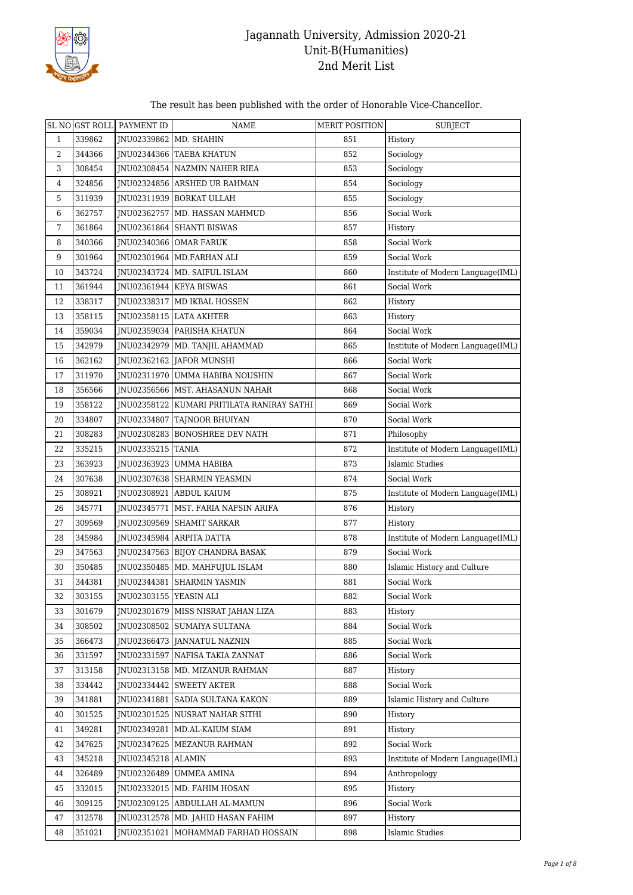

The result has been published with the order of Honorable Vice-Chancellor.

|              | SL NO GST ROLL | PAYMENT ID               | NAME                                         | <b>MERIT POSITION</b> | <b>SUBJECT</b>                    |
|--------------|----------------|--------------------------|----------------------------------------------|-----------------------|-----------------------------------|
| $\mathbf{1}$ | 339862         | JNU02339862   MD. SHAHIN |                                              | 851                   | History                           |
| 2            | 344366         |                          | INU02344366 TAEBA KHATUN                     | 852                   | Sociology                         |
| 3            | 308454         |                          | JNU02308454 NAZMIN NAHER RIEA                | 853                   | Sociology                         |
| 4            | 324856         |                          | INU02324856 ARSHED UR RAHMAN                 | 854                   | Sociology                         |
| 5            | 311939         |                          | JNU02311939 BORKAT ULLAH                     | 855                   | Sociology                         |
| 6            | 362757         |                          | JNU02362757   MD. HASSAN MAHMUD              | 856                   | Social Work                       |
| 7            | 361864         |                          | JNU02361864 SHANTI BISWAS                    | 857                   | History                           |
| 8            | 340366         |                          | <b>INU02340366 OMAR FARUK</b>                | 858                   | Social Work                       |
| 9            | 301964         |                          | JNU02301964 MD.FARHAN ALI                    | 859                   | Social Work                       |
| 10           | 343724         |                          | JNU02343724   MD. SAIFUL ISLAM               | 860                   | Institute of Modern Language(IML) |
| 11           | 361944         |                          | JNU02361944 KEYA BISWAS                      | 861                   | Social Work                       |
| 12           | 338317         |                          | JNU02338317   MD IKBAL HOSSEN                | 862                   | History                           |
| 13           | 358115         |                          | JNU02358115 LATA AKHTER                      | 863                   | History                           |
| 14           | 359034         |                          | JNU02359034 PARISHA KHATUN                   | 864                   | Social Work                       |
| 15           | 342979         |                          | JNU02342979   MD. TANJIL AHAMMAD             | 865                   | Institute of Modern Language(IML) |
| 16           | 362162         |                          | JNU02362162 JAFOR MUNSHI                     | 866                   | Social Work                       |
| 17           | 311970         |                          | JNU02311970 UMMA HABIBA NOUSHIN              | 867                   | Social Work                       |
| 18           | 356566         |                          | INU02356566   MST. AHASANUN NAHAR            | 868                   | Social Work                       |
| 19           | 358122         |                          | JNU02358122   KUMARI PRITILATA RANIRAY SATHI | 869                   | Social Work                       |
| 20           | 334807         |                          | JNU02334807   TAJNOOR BHUIYAN                | 870                   | Social Work                       |
| 21           | 308283         |                          | JNU02308283 BONOSHREE DEV NATH               | 871                   | Philosophy                        |
| 22           | 335215         | JNU02335215   TANIA      |                                              | 872                   | Institute of Modern Language(IML) |
| 23           | 363923         |                          | JNU02363923 UMMA HABIBA                      | 873                   | <b>Islamic Studies</b>            |
| 24           | 307638         |                          | JNU02307638 SHARMIN YEASMIN                  | 874                   | Social Work                       |
| 25           | 308921         |                          | JNU02308921 ABDUL KAIUM                      | 875                   | Institute of Modern Language(IML) |
| 26           | 345771         |                          | JNU02345771   MST. FARIA NAFSIN ARIFA        | 876                   | History                           |
| 27           | 309569         |                          | JNU02309569 SHAMIT SARKAR                    | 877                   | History                           |
| 28           | 345984         |                          | INU02345984 ARPITA DATTA                     | 878                   | Institute of Modern Language(IML) |
| 29           | 347563         |                          | INU02347563   BIJOY CHANDRA BASAK            | 879                   | Social Work                       |
| 30           | 350485         |                          | JNU02350485   MD. MAHFUJUL ISLAM             | 880                   | Islamic History and Culture       |
| 31           | 344381         |                          | JNU02344381   SHARMIN YASMIN                 | 881                   | Social Work                       |
| 32           | 303155         | JNU02303155   YEASIN ALI |                                              | 882                   | Social Work                       |
| 33           | 301679         |                          | INU02301679   MISS NISRAT JAHAN LIZA         | 883                   | History                           |
| 34           | 308502         |                          | JNU02308502 SUMAIYA SULTANA                  | 884                   | Social Work                       |
| 35           | 366473         |                          | INU02366473   JANNATUL NAZNIN                | 885                   | Social Work                       |
| 36           | 331597         |                          | JNU02331597   NAFISA TAKIA ZANNAT            | 886                   | Social Work                       |
| 37           | 313158         |                          | JNU02313158   MD. MIZANUR RAHMAN             | 887                   | History                           |
| 38           | 334442         |                          | INU02334442   SWEETY AKTER                   | 888                   | Social Work                       |
| 39           | 341881         |                          | INU02341881 SADIA SULTANA KAKON              | 889                   | Islamic History and Culture       |
| 40           | 301525         |                          | JNU02301525 NUSRAT NAHAR SITHI               | 890                   | History                           |
| 41           | 349281         |                          | JNU02349281   MD.AL-KAIUM SIAM               | 891                   | History                           |
| 42           | 347625         |                          | JNU02347625   MEZANUR RAHMAN                 | 892                   | Social Work                       |
| 43           | 345218         | JNU02345218   ALAMIN     |                                              | 893                   | Institute of Modern Language(IML) |
| 44           | 326489         |                          | JNU02326489   UMMEA AMINA                    | 894                   | Anthropology                      |
| 45           | 332015         |                          | JNU02332015   MD. FAHIM HOSAN                | 895                   | History                           |
| 46           | 309125         |                          | JNU02309125 ABDULLAH AL-MAMUN                | 896                   | Social Work                       |
| 47           | 312578         |                          | JNU02312578   MD. JAHID HASAN FAHIM          | 897                   | History                           |
| 48           | 351021         |                          | JNU02351021   MOHAMMAD FARHAD HOSSAIN        | 898                   | <b>Islamic Studies</b>            |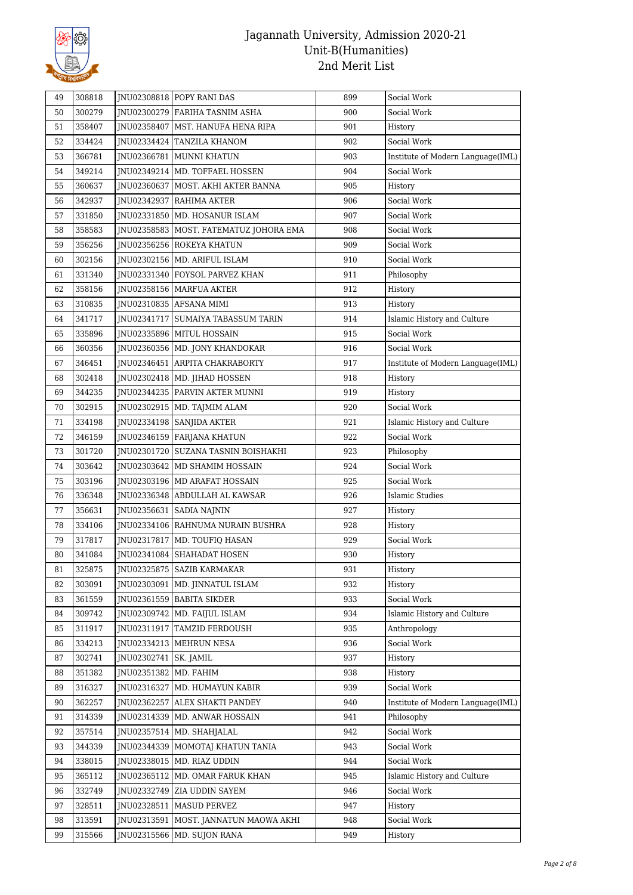

| 49 | 308818 |                         | INU02308818 POPY RANI DAS                | 899 | Social Work                       |
|----|--------|-------------------------|------------------------------------------|-----|-----------------------------------|
| 50 | 300279 |                         | JNU02300279 FARIHA TASNIM ASHA           | 900 | Social Work                       |
| 51 | 358407 |                         | INU02358407   MST. HANUFA HENA RIPA      | 901 | History                           |
| 52 | 334424 |                         | JNU02334424 TANZILA KHANOM               | 902 | Social Work                       |
| 53 | 366781 |                         | JNU02366781   MUNNI KHATUN               | 903 | Institute of Modern Language(IML) |
| 54 | 349214 |                         | JNU02349214   MD. TOFFAEL HOSSEN         | 904 | Social Work                       |
| 55 | 360637 |                         | JNU02360637   MOST. AKHI AKTER BANNA     | 905 | History                           |
| 56 | 342937 |                         | JNU02342937   RAHIMA AKTER               | 906 | Social Work                       |
| 57 | 331850 |                         | JNU02331850   MD. HOSANUR ISLAM          | 907 | Social Work                       |
| 58 | 358583 |                         | JNU02358583   MOST. FATEMATUZ JOHORA EMA | 908 | Social Work                       |
| 59 | 356256 |                         | JNU02356256 ROKEYA KHATUN                | 909 | Social Work                       |
| 60 | 302156 |                         | JNU02302156   MD. ARIFUL ISLAM           | 910 | Social Work                       |
| 61 | 331340 |                         | JNU02331340 FOYSOL PARVEZ KHAN           | 911 | Philosophy                        |
| 62 | 358156 |                         | JNU02358156   MARFUA AKTER               | 912 | History                           |
| 63 | 310835 |                         | JNU02310835 AFSANA MIMI                  | 913 | History                           |
| 64 | 341717 |                         | JNU02341717   SUMAIYA TABASSUM TARIN     | 914 | Islamic History and Culture       |
| 65 | 335896 |                         | INU02335896   MITUL HOSSAIN              | 915 | Social Work                       |
| 66 | 360356 |                         | JNU02360356   MD. JONY KHANDOKAR         | 916 | Social Work                       |
| 67 | 346451 |                         | INU02346451 ARPITA CHAKRABORTY           | 917 | Institute of Modern Language(IML) |
| 68 | 302418 |                         | JNU02302418   MD. JIHAD HOSSEN           | 918 | History                           |
| 69 | 344235 |                         | JNU02344235   PARVIN AKTER MUNNI         | 919 | History                           |
| 70 | 302915 |                         | JNU02302915   MD. TAJMIM ALAM            | 920 | Social Work                       |
| 71 | 334198 |                         | JNU02334198   SANJIDA AKTER              | 921 | Islamic History and Culture       |
| 72 | 346159 |                         | JNU02346159 FARJANA KHATUN               | 922 | Social Work                       |
| 73 | 301720 |                         | JNU02301720   SUZANA TASNIN BOISHAKHI    | 923 | Philosophy                        |
| 74 | 303642 |                         | JNU02303642   MD SHAMIM HOSSAIN          | 924 | Social Work                       |
| 75 | 303196 |                         | JNU02303196   MD ARAFAT HOSSAIN          | 925 | Social Work                       |
| 76 | 336348 |                         | JNU02336348 ABDULLAH AL KAWSAR           | 926 | <b>Islamic Studies</b>            |
| 77 | 356631 |                         | JNU02356631   SADIA NAJNIN               | 927 | History                           |
| 78 | 334106 |                         | JNU02334106   RAHNUMA NURAIN BUSHRA      | 928 | History                           |
| 79 | 317817 |                         | JNU02317817   MD. TOUFIQ HASAN           | 929 | Social Work                       |
| 80 | 341084 |                         | JNU02341084 SHAHADAT HOSEN               | 930 | History                           |
| 81 | 325875 |                         | JNU02325875 SAZIB KARMAKAR               | 931 | History                           |
| 82 | 303091 |                         | JNU02303091   MD. JINNATUL ISLAM         | 932 | History                           |
| 83 | 361559 |                         | JNU02361559   BABITA SIKDER              | 933 | Social Work                       |
| 84 | 309742 |                         | INU02309742   MD. FAIJUL ISLAM           | 934 | Islamic History and Culture       |
| 85 | 311917 |                         | JNU02311917   TAMZID FERDOUSH            | 935 | Anthropology                      |
| 86 | 334213 |                         | JNU02334213   MEHRUN NESA                | 936 | Social Work                       |
| 87 | 302741 | JNU02302741   SK. JAMIL |                                          | 937 | History                           |
| 88 | 351382 | JNU02351382 MD. FAHIM   |                                          | 938 | History                           |
| 89 | 316327 | JNU02316327             | MD. HUMAYUN KABIR                        | 939 | Social Work                       |
| 90 | 362257 |                         | JNU02362257 ALEX SHAKTI PANDEY           | 940 | Institute of Modern Language(IML) |
| 91 | 314339 |                         | JNU02314339   MD. ANWAR HOSSAIN          | 941 | Philosophy                        |
| 92 | 357514 |                         | JNU02357514   MD. SHAHJALAL              | 942 | Social Work                       |
| 93 | 344339 |                         | JNU02344339   MOMOTAJ KHATUN TANIA       | 943 | Social Work                       |
| 94 | 338015 |                         | JNU02338015   MD. RIAZ UDDIN             | 944 | Social Work                       |
| 95 | 365112 | JNU02365112             | MD. OMAR FARUK KHAN                      | 945 | Islamic History and Culture       |
| 96 | 332749 |                         | JNU02332749 ZIA UDDIN SAYEM              | 946 | Social Work                       |
| 97 | 328511 |                         | JNU02328511   MASUD PERVEZ               | 947 | History                           |
| 98 | 313591 | JNU02313591             | MOST. JANNATUN MAOWA AKHI                | 948 | Social Work                       |
| 99 | 315566 |                         | JNU02315566   MD. SUJON RANA             | 949 | History                           |
|    |        |                         |                                          |     |                                   |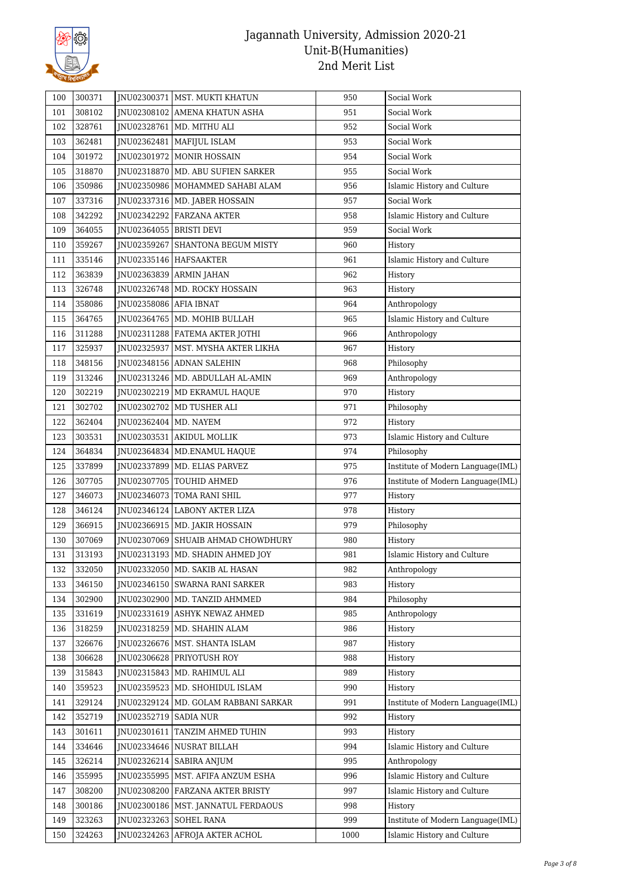

| 100 | 300371 |                           | JNU02300371   MST. MUKTI KHATUN        | 950  | Social Work                        |
|-----|--------|---------------------------|----------------------------------------|------|------------------------------------|
| 101 | 308102 |                           | INU02308102 AMENA KHATUN ASHA          | 951  | Social Work                        |
| 102 | 328761 |                           | JNU02328761   MD. MITHU ALI            | 952  | Social Work                        |
| 103 | 362481 |                           | JNU02362481   MAFIJUL ISLAM            | 953  | Social Work                        |
| 104 | 301972 |                           | JNU02301972   MONIR HOSSAIN            | 954  | Social Work                        |
| 105 | 318870 |                           | JNU02318870   MD. ABU SUFIEN SARKER    | 955  | Social Work                        |
| 106 | 350986 |                           | JNU02350986   MOHAMMED SAHABI ALAM     | 956  | Islamic History and Culture        |
| 107 | 337316 |                           | INU02337316   MD. JABER HOSSAIN        | 957  | Social Work                        |
| 108 | 342292 |                           | JNU02342292   FARZANA AKTER            | 958  | Islamic History and Culture        |
| 109 | 364055 | JNU02364055   BRISTI DEVI |                                        | 959  | Social Work                        |
| 110 | 359267 |                           | JNU02359267   SHANTONA BEGUM MISTY     | 960  | History                            |
| 111 | 335146 |                           | JNU02335146   HAFSAAKTER               | 961  | Islamic History and Culture        |
| 112 | 363839 |                           | JNU02363839   ARMIN JAHAN              | 962  | History                            |
| 113 | 326748 |                           | INU02326748   MD. ROCKY HOSSAIN        | 963  | History                            |
| 114 | 358086 | JNU02358086   AFIA IBNAT  |                                        | 964  | Anthropology                       |
| 115 | 364765 |                           | INU02364765   MD. MOHIB BULLAH         | 965  | Islamic History and Culture        |
| 116 | 311288 |                           | JNU02311288   FATEMA AKTER JOTHI       | 966  | Anthropology                       |
| 117 | 325937 |                           | INU02325937   MST. MYSHA AKTER LIKHA   | 967  | History                            |
| 118 | 348156 |                           | JNU02348156   ADNAN SALEHIN            | 968  | Philosophy                         |
| 119 | 313246 |                           | JNU02313246   MD. ABDULLAH AL-AMIN     | 969  | Anthropology                       |
| 120 | 302219 |                           | JNU02302219   MD EKRAMUL HAQUE         | 970  | History                            |
| 121 | 302702 |                           | JNU02302702   MD TUSHER ALI            | 971  | Philosophy                         |
| 122 | 362404 | JNU02362404   MD. NAYEM   |                                        | 972  | History                            |
| 123 | 303531 |                           | JNU02303531   AKIDUL MOLLIK            | 973  | Islamic History and Culture        |
| 124 | 364834 |                           | JNU02364834   MD.ENAMUL HAQUE          | 974  | Philosophy                         |
| 125 | 337899 |                           | JNU02337899   MD. ELIAS PARVEZ         | 975  | Institute of Modern Language(IML)  |
| 126 | 307705 |                           | JNU02307705   TOUHID AHMED             | 976  | Institute of Modern Language(IML)  |
| 127 | 346073 |                           | JNU02346073   TOMA RANI SHIL           | 977  | History                            |
| 128 | 346124 |                           | JNU02346124   LABONY AKTER LIZA        | 978  | History                            |
| 129 | 366915 |                           | JNU02366915   MD. JAKIR HOSSAIN        | 979  | Philosophy                         |
| 130 | 307069 |                           | JNU02307069 SHUAIB AHMAD CHOWDHURY     | 980  | History                            |
| 131 | 313193 |                           | JNU02313193   MD. SHADIN AHMED JOY     | 981  | Islamic History and Culture        |
| 132 | 332050 |                           | JNU02332050 MD. SAKIB AL HASAN         | 982  | Anthropology                       |
| 133 | 346150 |                           | INU02346150   SWARNA RANI SARKER       | 983  | History                            |
| 134 | 302900 |                           | JNU02302900   MD. TANZID AHMMED        | 984  | Philosophy                         |
| 135 | 331619 |                           | JNU02331619 ASHYK NEWAZ AHMED          | 985  | Anthropology                       |
| 136 | 318259 |                           | INU02318259 MD. SHAHIN ALAM            | 986  | History                            |
| 137 | 326676 |                           | JNU02326676   MST. SHANTA ISLAM        | 987  | History                            |
| 138 | 306628 |                           | JNU02306628 PRIYOTUSH ROY              | 988  | History                            |
| 139 | 315843 |                           | JNU02315843   MD. RAHIMUL ALI          | 989  | History                            |
| 140 | 359523 |                           | JNU02359523   MD. SHOHIDUL ISLAM       | 990  | History                            |
| 141 | 329124 |                           | JNU02329124   MD. GOLAM RABBANI SARKAR | 991  | Institute of Modern Language (IML) |
| 142 | 352719 | JNU02352719   SADIA NUR   |                                        | 992  | History                            |
| 143 | 301611 |                           | JNU02301611   TANZIM AHMED TUHIN       | 993  | History                            |
| 144 | 334646 |                           | JNU02334646 NUSRAT BILLAH              | 994  | Islamic History and Culture        |
| 145 | 326214 | JNU02326214               | SABIRA ANJUM                           | 995  | Anthropology                       |
| 146 | 355995 |                           | JNU02355995   MST. AFIFA ANZUM ESHA    | 996  | Islamic History and Culture        |
| 147 | 308200 |                           | JNU02308200 FARZANA AKTER BRISTY       | 997  | Islamic History and Culture        |
| 148 | 300186 |                           | JNU02300186   MST. JANNATUL FERDAOUS   | 998  | History                            |
| 149 | 323263 | JNU02323263               | <b>SOHEL RANA</b>                      | 999  | Institute of Modern Language(IML)  |
| 150 | 324263 |                           | JNU02324263   AFROJA AKTER ACHOL       | 1000 | Islamic History and Culture        |
|     |        |                           |                                        |      |                                    |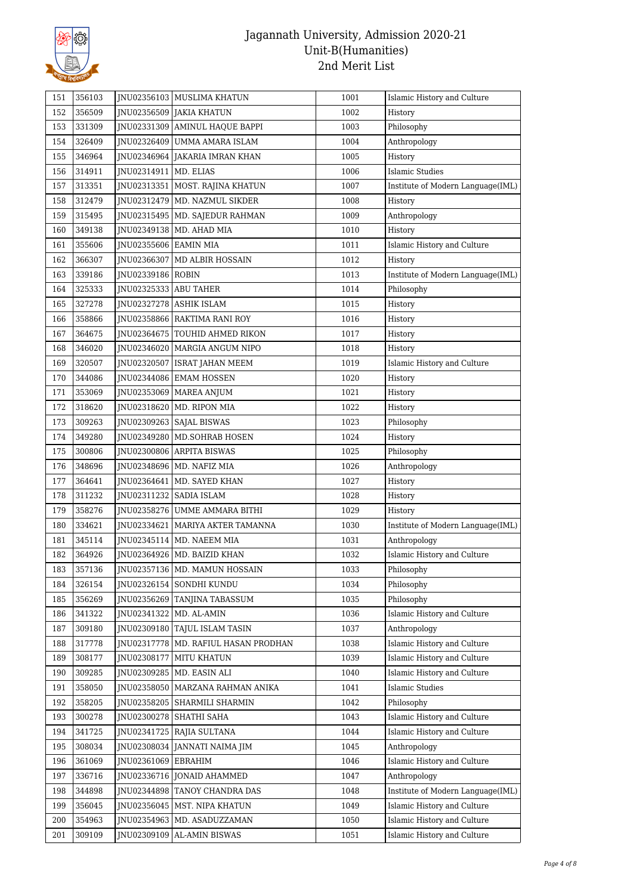

| 151 | 356103 |                         | JNU02356103   MUSLIMA KHATUN           | 1001 | Islamic History and Culture       |
|-----|--------|-------------------------|----------------------------------------|------|-----------------------------------|
| 152 | 356509 |                         | JNU02356509 JAKIA KHATUN               | 1002 | History                           |
| 153 | 331309 |                         | INU02331309 AMINUL HAQUE BAPPI         | 1003 | Philosophy                        |
| 154 | 326409 |                         | JNU02326409   UMMA AMARA ISLAM         | 1004 | Anthropology                      |
| 155 | 346964 |                         | JNU02346964   JAKARIA IMRAN KHAN       | 1005 | History                           |
| 156 | 314911 | JNU02314911   MD. ELIAS |                                        | 1006 | <b>Islamic Studies</b>            |
| 157 | 313351 |                         | JNU02313351   MOST. RAJINA KHATUN      | 1007 | Institute of Modern Language(IML) |
| 158 | 312479 |                         | JNU02312479   MD. NAZMUL SIKDER        | 1008 | History                           |
| 159 | 315495 |                         | JNU02315495   MD. SAJEDUR RAHMAN       | 1009 | Anthropology                      |
| 160 | 349138 |                         | JNU02349138   MD. AHAD MIA             | 1010 | History                           |
| 161 | 355606 | JNU02355606   EAMIN MIA |                                        | 1011 | Islamic History and Culture       |
| 162 | 366307 |                         | JNU02366307   MD ALBIR HOSSAIN         | 1012 | History                           |
| 163 | 339186 | JNU02339186   ROBIN     |                                        | 1013 | Institute of Modern Language(IML) |
| 164 | 325333 | JNU02325333   ABU TAHER |                                        | 1014 | Philosophy                        |
| 165 | 327278 |                         | INU02327278 ASHIK ISLAM                | 1015 | History                           |
| 166 | 358866 |                         | <b>INU02358866   RAKTIMA RANI ROY</b>  | 1016 | History                           |
| 167 | 364675 |                         | JNU02364675   TOUHID AHMED RIKON       | 1017 | History                           |
| 168 | 346020 |                         | JNU02346020   MARGIA ANGUM NIPO        | 1018 | History                           |
| 169 | 320507 |                         | JNU02320507   ISRAT JAHAN MEEM         | 1019 | Islamic History and Culture       |
| 170 | 344086 |                         | JNU02344086   EMAM HOSSEN              | 1020 | History                           |
| 171 | 353069 |                         | INU02353069   MAREA ANJUM              | 1021 | History                           |
| 172 | 318620 |                         | JNU02318620   MD. RIPON MIA            | 1022 | History                           |
| 173 | 309263 |                         | JNU02309263   SAJAL BISWAS             | 1023 | Philosophy                        |
| 174 | 349280 |                         | JNU02349280   MD.SOHRAB HOSEN          | 1024 | History                           |
| 175 | 300806 |                         | JNU02300806 ARPITA BISWAS              | 1025 | Philosophy                        |
| 176 | 348696 |                         | JNU02348696   MD. NAFIZ MIA            | 1026 | Anthropology                      |
| 177 | 364641 |                         | JNU02364641   MD. SAYED KHAN           | 1027 | History                           |
| 178 | 311232 |                         | JNU02311232   SADIA ISLAM              | 1028 | History                           |
| 179 | 358276 |                         | JNU02358276 UMME AMMARA BITHI          | 1029 | History                           |
| 180 | 334621 |                         | JNU02334621   MARIYA AKTER TAMANNA     | 1030 | Institute of Modern Language(IML) |
| 181 | 345114 |                         | JNU02345114   MD. NAEEM MIA            | 1031 | Anthropology                      |
| 182 | 364926 |                         | JNU02364926   MD. BAIZID KHAN          | 1032 | Islamic History and Culture       |
| 183 | 357136 |                         | JNU02357136 MD. MAMUN HOSSAIN          | 1033 | Philosophy                        |
| 184 | 326154 | JNU02326154             | SONDHI KUNDU                           | 1034 | Philosophy                        |
| 185 | 356269 |                         | JNU02356269 TANJINA TABASSUM           | 1035 | Philosophy                        |
| 186 | 341322 |                         | <b>INU02341322   MD. AL-AMIN</b>       | 1036 | Islamic History and Culture       |
| 187 | 309180 |                         | JNU02309180   TAJUL ISLAM TASIN        | 1037 | Anthropology                      |
| 188 | 317778 |                         | JNU02317778   MD. RAFIUL HASAN PRODHAN | 1038 | Islamic History and Culture       |
| 189 | 308177 | JNU02308177             | <b>MITU KHATUN</b>                     | 1039 | Islamic History and Culture       |
| 190 | 309285 | JNU02309285             | MD. EASIN ALI                          | 1040 | Islamic History and Culture       |
| 191 | 358050 |                         | JNU02358050   MARZANA RAHMAN ANIKA     | 1041 | <b>Islamic Studies</b>            |
| 192 | 358205 |                         | JNU02358205   SHARMILI SHARMIN         | 1042 | Philosophy                        |
| 193 | 300278 | JNU02300278             | SHATHI SAHA                            | 1043 | Islamic History and Culture       |
| 194 | 341725 | JNU02341725             | RAJIA SULTANA                          | 1044 | Islamic History and Culture       |
| 195 | 308034 |                         | JNU02308034   JANNATI NAIMA JIM        | 1045 | Anthropology                      |
| 196 | 361069 | JNU02361069   EBRAHIM   |                                        | 1046 | Islamic History and Culture       |
| 197 | 336716 |                         | JNU02336716 JONAID AHAMMED             | 1047 | Anthropology                      |
| 198 | 344898 |                         | JNU02344898 TANOY CHANDRA DAS          | 1048 | Institute of Modern Language(IML) |
| 199 | 356045 |                         | JNU02356045   MST. NIPA KHATUN         | 1049 | Islamic History and Culture       |
| 200 | 354963 |                         | JNU02354963   MD. ASADUZZAMAN          | 1050 | Islamic History and Culture       |
| 201 | 309109 |                         | JNU02309109   AL-AMIN BISWAS           | 1051 | Islamic History and Culture       |
|     |        |                         |                                        |      |                                   |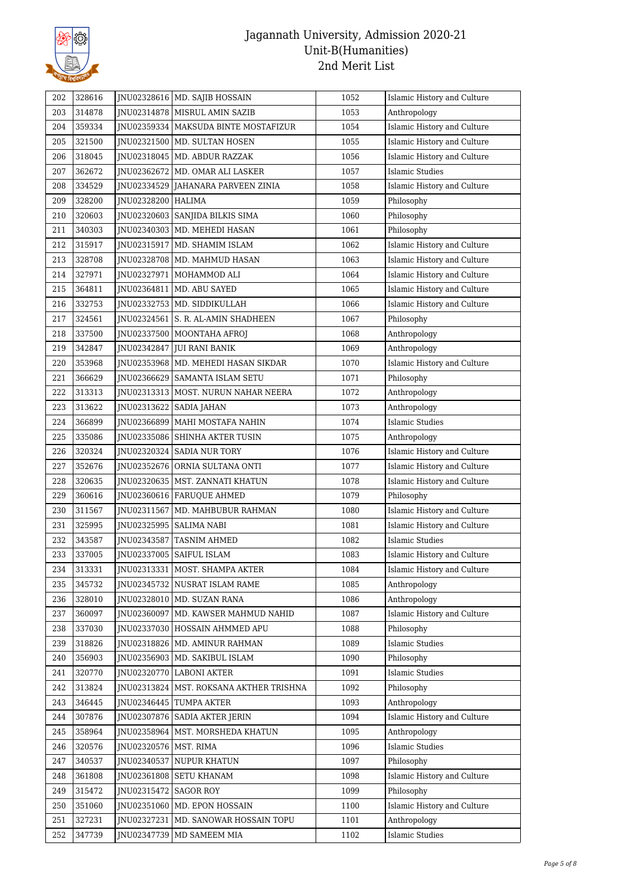

| 202 | 328616 |                         | JNU02328616   MD. SAJIB HOSSAIN        | 1052 | Islamic History and Culture |
|-----|--------|-------------------------|----------------------------------------|------|-----------------------------|
| 203 | 314878 |                         | JNU02314878   MISRUL AMIN SAZIB        | 1053 | Anthropology                |
| 204 | 359334 |                         | INU02359334   MAKSUDA BINTE MOSTAFIZUR | 1054 | Islamic History and Culture |
| 205 | 321500 |                         | JNU02321500   MD. SULTAN HOSEN         | 1055 | Islamic History and Culture |
| 206 | 318045 | JNU02318045             | MD. ABDUR RAZZAK                       | 1056 | Islamic History and Culture |
| 207 | 362672 |                         | JNU02362672   MD. OMAR ALI LASKER      | 1057 | Islamic Studies             |
| 208 | 334529 |                         | JNU02334529   JAHANARA PARVEEN ZINIA   | 1058 | Islamic History and Culture |
| 209 | 328200 | JNU02328200   HALIMA    |                                        | 1059 | Philosophy                  |
| 210 | 320603 |                         | JNU02320603 SANJIDA BILKIS SIMA        | 1060 | Philosophy                  |
| 211 | 340303 |                         | JNU02340303   MD. MEHEDI HASAN         | 1061 | Philosophy                  |
| 212 | 315917 |                         | INU02315917   MD. SHAMIM ISLAM         | 1062 | Islamic History and Culture |
| 213 | 328708 |                         | JNU02328708   MD. MAHMUD HASAN         | 1063 | Islamic History and Culture |
| 214 | 327971 |                         | JNU02327971   MOHAMMOD ALI             | 1064 | Islamic History and Culture |
| 215 | 364811 | JNU02364811             | MD. ABU SAYED                          | 1065 | Islamic History and Culture |
| 216 | 332753 |                         | JNU02332753   MD. SIDDIKULLAH          | 1066 | Islamic History and Culture |
| 217 | 324561 |                         | JNU02324561   S. R. AL-AMIN SHADHEEN   | 1067 | Philosophy                  |
| 218 | 337500 |                         | JNU02337500   MOONTAHA AFROJ           | 1068 | Anthropology                |
| 219 | 342847 | JNU02342847             | <b>JUI RANI BANIK</b>                  | 1069 | Anthropology                |
| 220 | 353968 |                         | INU02353968   MD. MEHEDI HASAN SIKDAR  | 1070 | Islamic History and Culture |
| 221 | 366629 | JNU02366629             | SAMANTA ISLAM SETU                     | 1071 | Philosophy                  |
| 222 | 313313 | JNU02313313             | MOST. NURUN NAHAR NEERA                | 1072 | Anthropology                |
| 223 | 313622 |                         | JNU02313622   SADIA JAHAN              | 1073 | Anthropology                |
| 224 | 366899 | JNU02366899             | MAHI MOSTAFA NAHIN                     | 1074 | <b>Islamic Studies</b>      |
| 225 | 335086 |                         | JNU02335086   SHINHA AKTER TUSIN       | 1075 | Anthropology                |
| 226 | 320324 |                         | JNU02320324 SADIA NUR TORY             | 1076 | Islamic History and Culture |
| 227 | 352676 |                         | JNU02352676   ORNIA SULTANA ONTI       | 1077 | Islamic History and Culture |
| 228 | 320635 |                         | JNU02320635   MST. ZANNATI KHATUN      | 1078 | Islamic History and Culture |
| 229 | 360616 |                         | JNU02360616   FARUQUE AHMED            | 1079 | Philosophy                  |
| 230 | 311567 | JNU02311567             | MD. MAHBUBUR RAHMAN                    | 1080 | Islamic History and Culture |
| 231 | 325995 | JNU02325995             | <b>SALIMA NABI</b>                     | 1081 | Islamic History and Culture |
| 232 | 343587 | JNU02343587             | TASNIM AHMED                           | 1082 | <b>Islamic Studies</b>      |
| 233 | 337005 | JNU02337005             | SAIFUL ISLAM                           | 1083 | Islamic History and Culture |
| 234 | 313331 |                         | JNU02313331   MOST. SHAMPA AKTER       | 1084 | Islamic History and Culture |
| 235 | 345732 | JNU02345732             | NUSRAT ISLAM RAME                      | 1085 | Anthropology                |
| 236 | 328010 |                         | JNU02328010   MD. SUZAN RANA           | 1086 | Anthropology                |
| 237 | 360097 |                         | JNU02360097   MD. KAWSER MAHMUD NAHID  | 1087 | Islamic History and Culture |
| 238 | 337030 | JNU02337030             | HOSSAIN AHMMED APU                     | 1088 | Philosophy                  |
| 239 | 318826 |                         | JNU02318826   MD. AMINUR RAHMAN        | 1089 | <b>Islamic Studies</b>      |
| 240 | 356903 |                         | JNU02356903   MD. SAKIBUL ISLAM        | 1090 | Philosophy                  |
| 241 | 320770 | JNU02320770             | <b>LABONI AKTER</b>                    | 1091 | <b>Islamic Studies</b>      |
| 242 | 313824 | JNU02313824             | MST. ROKSANA AKTHER TRISHNA            | 1092 | Philosophy                  |
| 243 | 346445 | JNU02346445             | TUMPA AKTER                            | 1093 | Anthropology                |
| 244 | 307876 |                         | JNU02307876   SADIA AKTER JERIN        | 1094 | Islamic History and Culture |
| 245 | 358964 |                         | JNU02358964   MST. MORSHEDA KHATUN     | 1095 | Anthropology                |
| 246 | 320576 | JNU02320576   MST. RIMA |                                        | 1096 | <b>Islamic Studies</b>      |
| 247 | 340537 | JNU02340537             | NUPUR KHATUN                           | 1097 | Philosophy                  |
| 248 | 361808 | JNU02361808             | <b>SETU KHANAM</b>                     | 1098 | Islamic History and Culture |
| 249 | 315472 | JNU02315472   SAGOR ROY |                                        | 1099 | Philosophy                  |
| 250 | 351060 | JNU02351060             | MD. EPON HOSSAIN                       | 1100 | Islamic History and Culture |
| 251 | 327231 | JNU02327231             | MD. SANOWAR HOSSAIN TOPU               | 1101 | Anthropology                |
| 252 | 347739 |                         | JNU02347739   MD SAMEEM MIA            | 1102 | <b>Islamic Studies</b>      |
|     |        |                         |                                        |      |                             |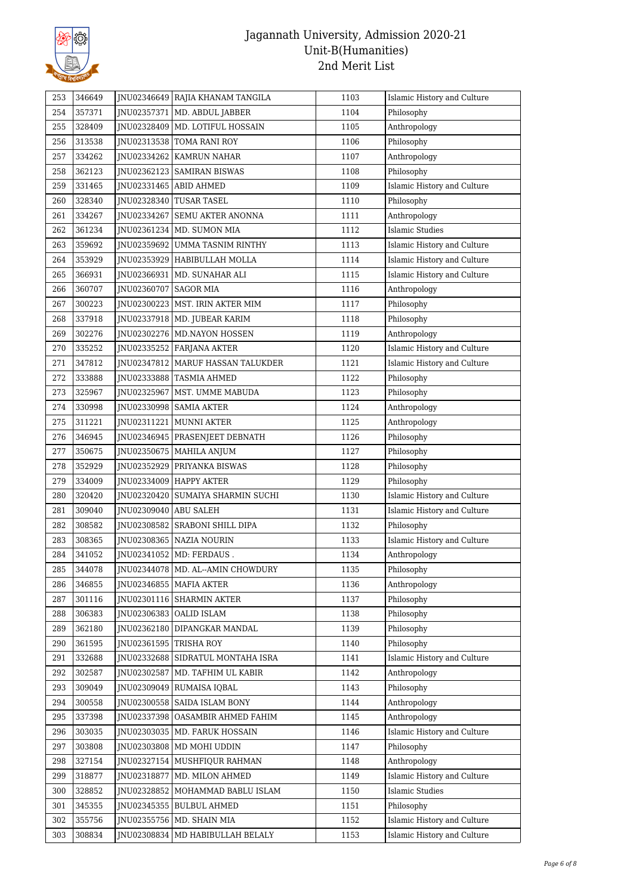

| 253 | 346649 |                          | JNU02346649   RAJIA KHANAM TANGILA  | 1103 | Islamic History and Culture |
|-----|--------|--------------------------|-------------------------------------|------|-----------------------------|
| 254 | 357371 |                          | JNU02357371   MD. ABDUL JABBER      | 1104 | Philosophy                  |
| 255 | 328409 |                          | JNU02328409   MD. LOTIFUL HOSSAIN   | 1105 | Anthropology                |
| 256 | 313538 |                          | JNU02313538 TOMA RANI ROY           | 1106 | Philosophy                  |
| 257 | 334262 |                          | JNU02334262   KAMRUN NAHAR          | 1107 | Anthropology                |
| 258 | 362123 |                          | JNU02362123 SAMIRAN BISWAS          | 1108 | Philosophy                  |
| 259 | 331465 | JNU02331465 ABID AHMED   |                                     | 1109 | Islamic History and Culture |
| 260 | 328340 |                          | JNU02328340 TUSAR TASEL             | 1110 | Philosophy                  |
| 261 | 334267 |                          | JNU02334267 SEMU AKTER ANONNA       | 1111 | Anthropology                |
| 262 | 361234 |                          | JNU02361234   MD. SUMON MIA         | 1112 | Islamic Studies             |
| 263 | 359692 |                          | JNU02359692 UMMA TASNIM RINTHY      | 1113 | Islamic History and Culture |
| 264 | 353929 |                          | JNU02353929   HABIBULLAH MOLLA      | 1114 | Islamic History and Culture |
| 265 | 366931 |                          | JNU02366931   MD. SUNAHAR ALI       | 1115 | Islamic History and Culture |
| 266 | 360707 | JNU02360707   SAGOR MIA  |                                     | 1116 | Anthropology                |
| 267 | 300223 |                          | JNU02300223   MST. IRIN AKTER MIM   | 1117 | Philosophy                  |
| 268 | 337918 |                          | JNU02337918   MD. JUBEAR KARIM      | 1118 | Philosophy                  |
| 269 | 302276 |                          | JNU02302276   MD.NAYON HOSSEN       | 1119 | Anthropology                |
| 270 | 335252 |                          | JNU02335252 FARJANA AKTER           | 1120 | Islamic History and Culture |
| 271 | 347812 |                          | JNU02347812   MARUF HASSAN TALUKDER | 1121 | Islamic History and Culture |
| 272 | 333888 |                          | JNU02333888 TASMIA AHMED            | 1122 | Philosophy                  |
| 273 | 325967 |                          | JNU02325967   MST. UMME MABUDA      | 1123 | Philosophy                  |
| 274 | 330998 |                          | JNU02330998   SAMIA AKTER           | 1124 | Anthropology                |
| 275 | 311221 |                          | JNU02311221   MUNNI AKTER           | 1125 | Anthropology                |
| 276 | 346945 |                          | JNU02346945   PRASENJEET DEBNATH    | 1126 | Philosophy                  |
| 277 | 350675 |                          | JNU02350675   MAHILA ANJUM          | 1127 | Philosophy                  |
| 278 | 352929 |                          | JNU02352929 PRIYANKA BISWAS         | 1128 | Philosophy                  |
| 279 | 334009 |                          | JNU02334009   HAPPY AKTER           | 1129 | Philosophy                  |
| 280 | 320420 |                          | JNU02320420   SUMAIYA SHARMIN SUCHI | 1130 | Islamic History and Culture |
| 281 | 309040 | JNU02309040 ABU SALEH    |                                     | 1131 | Islamic History and Culture |
| 282 | 308582 |                          | JNU02308582   SRABONI SHILL DIPA    | 1132 | Philosophy                  |
| 283 | 308365 |                          | JNU02308365 NAZIA NOURIN            | 1133 | Islamic History and Culture |
| 284 | 341052 |                          | JNU02341052   MD: FERDAUS.          | 1134 | Anthropology                |
| 285 | 344078 |                          | JNU02344078 MD. AL--AMIN CHOWDURY   | 1135 | Philosophy                  |
| 286 | 346855 |                          | JNU02346855   MAFIA AKTER           | 1136 | Anthropology                |
| 287 | 301116 |                          | JNU02301116 SHARMIN AKTER           | 1137 | Philosophy                  |
| 288 | 306383 |                          | INU02306383 OALID ISLAM             | 1138 | Philosophy                  |
| 289 | 362180 |                          | JNU02362180   DIPANGKAR MANDAL      | 1139 | Philosophy                  |
| 290 | 361595 | JNU02361595   TRISHA ROY |                                     | 1140 | Philosophy                  |
| 291 | 332688 |                          | JNU02332688 SIDRATUL MONTAHA ISRA   | 1141 | Islamic History and Culture |
| 292 | 302587 |                          | JNU02302587   MD. TAFHIM UL KABIR   | 1142 | Anthropology                |
| 293 | 309049 |                          | JNU02309049 RUMAISA IQBAL           | 1143 | Philosophy                  |
| 294 | 300558 |                          | JNU02300558 SAIDA ISLAM BONY        | 1144 | Anthropology                |
| 295 | 337398 |                          | JNU02337398   OASAMBIR AHMED FAHIM  | 1145 | Anthropology                |
| 296 | 303035 |                          | JNU02303035   MD. FARUK HOSSAIN     | 1146 | Islamic History and Culture |
| 297 | 303808 |                          | JNU02303808   MD MOHI UDDIN         | 1147 | Philosophy                  |
| 298 | 327154 |                          | JNU02327154   MUSHFIQUR RAHMAN      | 1148 | Anthropology                |
| 299 | 318877 | JNU02318877              | MD. MILON AHMED                     | 1149 | Islamic History and Culture |
| 300 | 328852 |                          | JNU02328852   MOHAMMAD BABLU ISLAM  | 1150 | <b>Islamic Studies</b>      |
| 301 | 345355 |                          | JNU02345355   BULBUL AHMED          | 1151 | Philosophy                  |
| 302 | 355756 |                          | JNU02355756   MD. SHAIN MIA         | 1152 | Islamic History and Culture |
| 303 | 308834 |                          | JNU02308834   MD HABIBULLAH BELALY  | 1153 | Islamic History and Culture |
|     |        |                          |                                     |      |                             |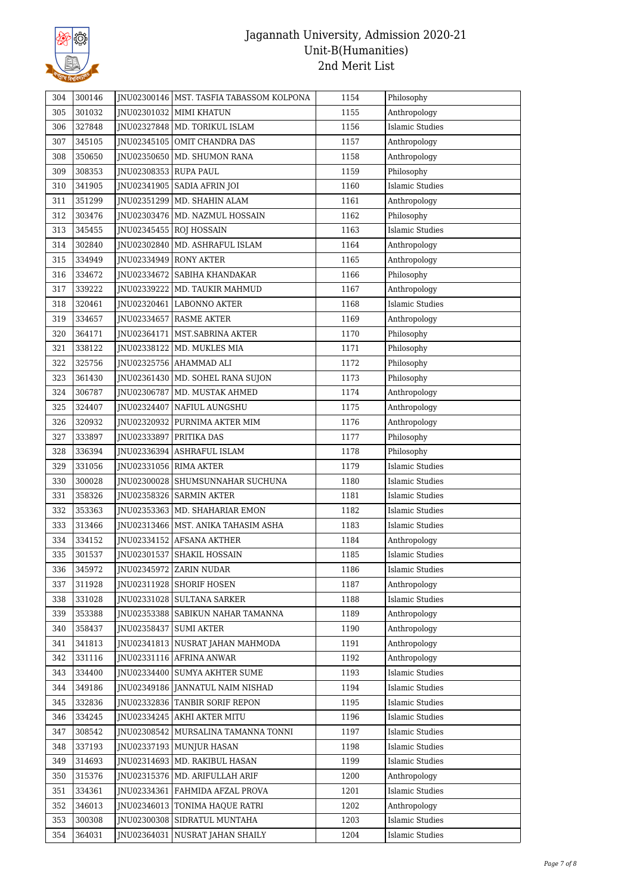

| 305 | 301032 |                           |                                       |      |                             |
|-----|--------|---------------------------|---------------------------------------|------|-----------------------------|
|     |        |                           | JNU02301032 MIMI KHATUN               | 1155 | Anthropology                |
| 306 | 327848 |                           | JNU02327848 MD. TORIKUL ISLAM         | 1156 | <b>Islamic Studies</b>      |
| 307 | 345105 |                           | JNU02345105   OMIT CHANDRA DAS        | 1157 | Anthropology                |
| 308 | 350650 |                           | JNU02350650   MD. SHUMON RANA         | 1158 | Anthropology                |
| 309 | 308353 | JNU02308353 RUPA PAUL     |                                       | 1159 | Philosophy                  |
| 310 | 341905 |                           | JNU02341905   SADIA AFRIN JOI         | 1160 | <b>Islamic Studies</b>      |
| 311 | 351299 |                           | JNU02351299   MD. SHAHIN ALAM         | 1161 | Anthropology                |
| 312 | 303476 |                           | JNU02303476   MD. NAZMUL HOSSAIN      | 1162 | Philosophy                  |
| 313 | 345455 |                           | JNU02345455 ROJ HOSSAIN               | 1163 | <b>Islamic Studies</b>      |
| 314 | 302840 |                           | JNU02302840   MD. ASHRAFUL ISLAM      | 1164 | Anthropology                |
| 315 | 334949 |                           | JNU02334949   RONY AKTER              | 1165 | Anthropology                |
| 316 | 334672 |                           | JNU02334672   SABIHA KHANDAKAR        | 1166 | Philosophy                  |
| 317 | 339222 |                           | JNU02339222   MD. TAUKIR MAHMUD       | 1167 | Anthropology                |
| 318 | 320461 |                           | JNU02320461 LABONNO AKTER             | 1168 | <b>Islamic Studies</b>      |
| 319 | 334657 |                           | INU02334657 RASME AKTER               | 1169 | Anthropology                |
| 320 | 364171 |                           | JNU02364171   MST.SABRINA AKTER       | 1170 | Philosophy                  |
| 321 | 338122 |                           | JNU02338122   MD. MUKLES MIA          | 1171 | Philosophy                  |
| 322 | 325756 |                           | JNU02325756   AHAMMAD ALI             | 1172 | Philosophy                  |
| 323 | 361430 |                           | JNU02361430   MD. SOHEL RANA SUJON    | 1173 | Philosophy                  |
| 324 | 306787 |                           | JNU02306787   MD. MUSTAK AHMED        | 1174 | Anthropology                |
| 325 | 324407 |                           | JNU02324407   NAFIUL AUNGSHU          | 1175 | Anthropology                |
| 326 | 320932 |                           | JNU02320932   PURNIMA AKTER MIM       | 1176 | Anthropology                |
| 327 | 333897 | JNU02333897   PRITIKA DAS |                                       | 1177 | Philosophy                  |
| 328 | 336394 |                           | JNU02336394 ASHRAFUL ISLAM            | 1178 | Philosophy                  |
| 329 | 331056 | JNU02331056   RIMA AKTER  |                                       | 1179 | <b>Islamic Studies</b>      |
| 330 | 300028 |                           | JNU02300028 SHUMSUNNAHAR SUCHUNA      | 1180 | <b>Islamic Studies</b>      |
| 331 | 358326 |                           | JNU02358326   SARMIN AKTER            | 1181 | Islamic Studies             |
| 332 | 353363 |                           | JNU02353363   MD. SHAHARIAR EMON      | 1182 | <b>Islamic Studies</b>      |
| 333 | 313466 |                           | JNU02313466   MST. ANIKA TAHASIM ASHA | 1183 | <b>Islamic Studies</b>      |
| 334 | 334152 |                           | JNU02334152 AFSANA AKTHER             | 1184 | Anthropology                |
| 335 | 301537 |                           | JNU02301537 SHAKIL HOSSAIN            | 1185 | <b>Islamic Studies</b>      |
| 336 | 345972 |                           | JNU02345972 ZARIN NUDAR               | 1186 | $\sf Islamic$ $\sf Studies$ |
| 337 | 311928 |                           | JNU02311928 SHORIF HOSEN              | 1187 | Anthropology                |
| 338 | 331028 |                           | INU02331028 SULTANA SARKER            | 1188 | <b>Islamic Studies</b>      |
| 339 | 353388 |                           | JNU02353388   SABIKUN NAHAR TAMANNA   | 1189 | Anthropology                |
| 340 | 358437 | JNU02358437   SUMI AKTER  |                                       | 1190 | Anthropology                |
| 341 | 341813 |                           | JNU02341813 NUSRAT JAHAN MAHMODA      | 1191 | Anthropology                |
| 342 | 331116 |                           | JNU02331116 AFRINA ANWAR              | 1192 | Anthropology                |
| 343 | 334400 |                           | JNU02334400 SUMYA AKHTER SUME         | 1193 | <b>Islamic Studies</b>      |
| 344 | 349186 |                           | JNU02349186 JANNATUL NAIM NISHAD      | 1194 | <b>Islamic Studies</b>      |
| 345 | 332836 |                           | JNU02332836 TANBIR SORIF REPON        | 1195 | <b>Islamic Studies</b>      |
| 346 | 334245 |                           | JNU02334245 AKHI AKTER MITU           | 1196 | <b>Islamic Studies</b>      |
| 347 | 308542 |                           | JNU02308542   MURSALINA TAMANNA TONNI | 1197 | <b>Islamic Studies</b>      |
| 348 | 337193 |                           | JNU02337193 MUNJUR HASAN              | 1198 | <b>Islamic Studies</b>      |
| 349 | 314693 |                           | JNU02314693   MD. RAKIBUL HASAN       | 1199 | <b>Islamic Studies</b>      |
| 350 | 315376 |                           | JNU02315376   MD. ARIFULLAH ARIF      | 1200 | Anthropology                |
| 351 | 334361 |                           | JNU02334361 FAHMIDA AFZAL PROVA       | 1201 | <b>Islamic Studies</b>      |
| 352 | 346013 |                           | JNU02346013 TONIMA HAQUE RATRI        | 1202 | Anthropology                |
| 353 | 300308 |                           | JNU02300308   SIDRATUL MUNTAHA        | 1203 | <b>Islamic Studies</b>      |
| 354 | 364031 |                           | JNU02364031 NUSRAT JAHAN SHAILY       | 1204 | <b>Islamic Studies</b>      |